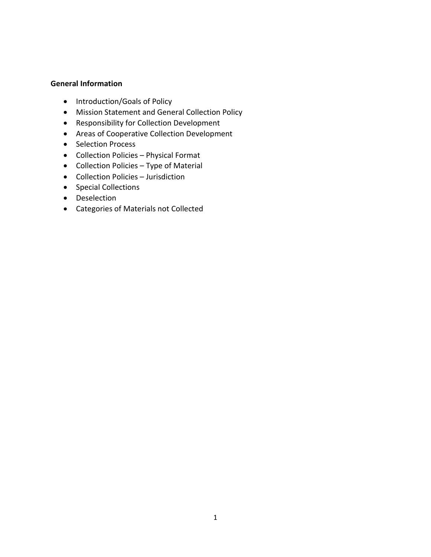## **General Information**

- Introduction/Goals of Policy
- Mission Statement and General Collection Policy
- Responsibility for Collection Development
- Areas of Cooperative Collection Development
- Selection Process
- Collection Policies Physical Format
- Collection Policies Type of Material
- Collection Policies Jurisdiction
- Special Collections
- Deselection
- Categories of Materials not Collected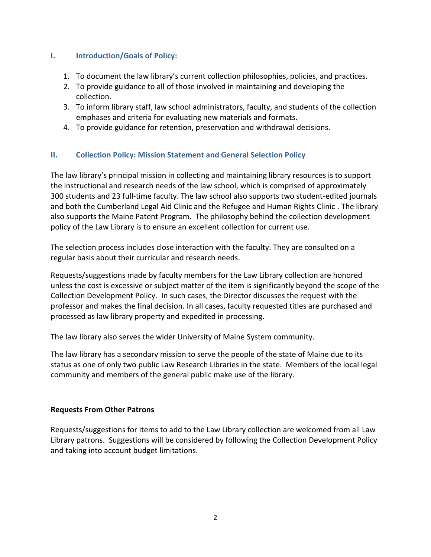## **I. Introduction/Goals of Policy:**

- 1. To document the law library's current collection philosophies, policies, and practices.
- 2. To provide guidance to all of those involved in maintaining and developing the collection.
- 3. To inform library staff, law school administrators, faculty, and students of the collection emphases and criteria for evaluating new materials and formats.
- 4. To provide guidance for retention, preservation and withdrawal decisions.

## **II. Collection Policy: Mission Statement and General Selection Policy**

The law library's principal mission in collecting and maintaining library resources is to support the instructional and research needs of the law school, which is comprised of approximately 300 students and 23 full-time faculty. The law school also supports two student-edited journals and both the Cumberland Legal Aid Clinic and the Refugee and Human Rights Clinic . The library also supports the Maine Patent Program. The philosophy behind the collection development policy of the Law Library is to ensure an excellent collection for current use.

The selection process includes close interaction with the faculty. They are consulted on a regular basis about their curricular and research needs.

Requests/suggestions made by faculty members for the Law Library collection are honored unless the cost is excessive or subject matter of the item is significantly beyond the scope of the Collection Development Policy. In such cases, the Director discusses the request with the professor and makes the final decision. In all cases, faculty requested titles are purchased and processed as law library property and expedited in processing.

The law library also serves the wider University of Maine System community.

The law library has a secondary mission to serve the people of the state of Maine due to its status as one of only two public Law Research Libraries in the state. Members of the local legal community and members of the general public make use of the library.

## **Requests From Other Patrons**

Requests/suggestions for items to add to the Law Library collection are welcomed from all Law Library patrons. Suggestions will be considered by following the Collection Development Policy and taking into account budget limitations.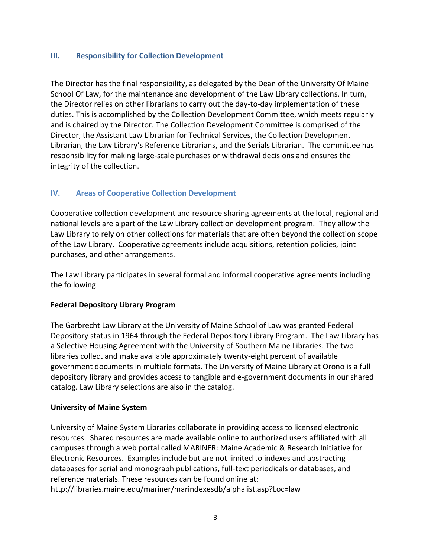## **III. Responsibility for Collection Development**

The Director has the final responsibility, as delegated by the Dean of the University Of Maine School Of Law, for the maintenance and development of the Law Library collections. In turn, the Director relies on other librarians to carry out the day-to-day implementation of these duties. This is accomplished by the Collection Development Committee, which meets regularly and is chaired by the Director. The Collection Development Committee is comprised of the Director, the Assistant Law Librarian for Technical Services, the Collection Development Librarian, the Law Library's Reference Librarians, and the Serials Librarian. The committee has responsibility for making large-scale purchases or withdrawal decisions and ensures the integrity of the collection.

# **IV. Areas of Cooperative Collection Development**

Cooperative collection development and resource sharing agreements at the local, regional and national levels are a part of the Law Library collection development program. They allow the Law Library to rely on other collections for materials that are often beyond the collection scope of the Law Library. Cooperative agreements include acquisitions, retention policies, joint purchases, and other arrangements.

The Law Library participates in several formal and informal cooperative agreements including the following:

## **Federal Depository Library Program**

The Garbrecht Law Library at the University of Maine School of Law was granted Federal Depository status in 1964 through the Federal Depository Library Program. The Law Library has a Selective Housing Agreement with the University of Southern Maine Libraries. The two libraries collect and make available approximately twenty-eight percent of available government documents in multiple formats. The University of Maine Library at Orono is a full depository library and provides access to tangible and e-government documents in our shared catalog. Law Library selections are also in the catalog.

## **University of Maine System**

University of Maine System Libraries collaborate in providing access to licensed electronic resources. Shared resources are made available online to authorized users affiliated with all campuses through a web portal called MARINER: Maine Academic & Research Initiative for Electronic Resources. Examples include but are not limited to indexes and abstracting databases for serial and monograph publications, full-text periodicals or databases, and reference materials. These resources can be found online at: http://libraries.maine.edu/mariner/marindexesdb/alphalist.asp?Loc=law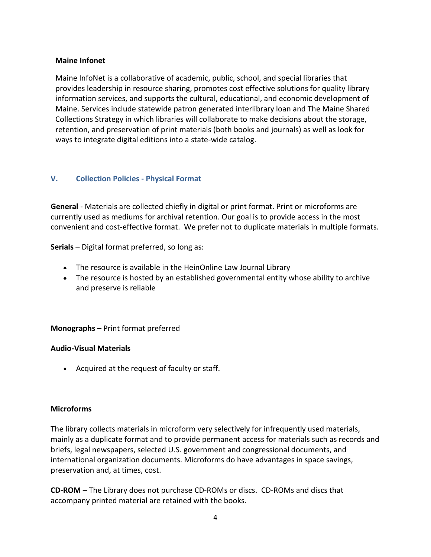## **Maine Infonet**

Maine InfoNet is a collaborative of academic, public, school, and special libraries that provides leadership in resource sharing, promotes cost effective solutions for quality library information services, and supports the cultural, educational, and economic development of Maine. Services include statewide patron generated interlibrary loan and The Maine Shared Collections Strategy in which libraries will collaborate to make decisions about the storage, retention, and preservation of print materials (both books and journals) as well as look for ways to integrate digital editions into a state-wide catalog.

# **V. Collection Policies - Physical Format**

**General** - Materials are collected chiefly in digital or print format. Print or microforms are currently used as mediums for archival retention. Our goal is to provide access in the most convenient and cost-effective format. We prefer not to duplicate materials in multiple formats.

**Serials** – Digital format preferred, so long as:

- **The resource is available in the HeinOnline Law Journal Library**
- The resource is hosted by an established governmental entity whose ability to archive and preserve is reliable

**Monographs** – Print format preferred

## **Audio-Visual Materials**

Acquired at the request of faculty or staff.

## **Microforms**

The library collects materials in microform very selectively for infrequently used materials, mainly as a duplicate format and to provide permanent access for materials such as records and briefs, legal newspapers, selected U.S. government and congressional documents, and international organization documents. Microforms do have advantages in space savings, preservation and, at times, cost.

**CD-ROM** – The Library does not purchase CD-ROMs or discs. CD-ROMs and discs that accompany printed material are retained with the books.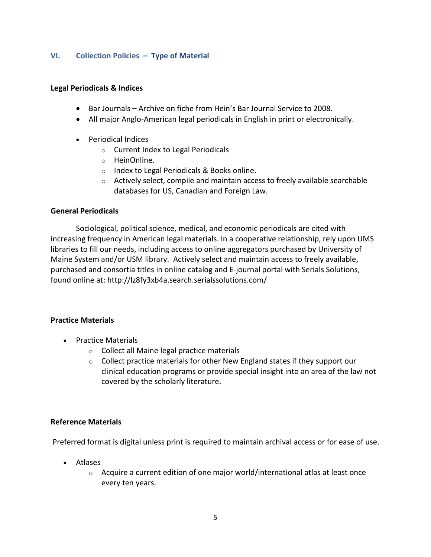## **VI. Collection Policies – Type of Material**

#### **Legal Periodicals & Indices**

- Bar Journals **–** Archive on fiche from Hein's Bar Journal Service to 2008.
- All major Anglo-American legal periodicals in English in print or electronically.
- Periodical Indices
	- o Current Index to Legal Periodicals
	- o HeinOnline.
	- o Index to Legal Periodicals & Books online.
	- $\circ$  Actively select, compile and maintain access to freely available searchable databases for US, Canadian and Foreign Law.

#### **General Periodicals**

Sociological, political science, medical, and economic periodicals are cited with increasing frequency in American legal materials. In a cooperative relationship, rely upon UMS libraries to fill our needs, including access to online aggregators purchased by University of Maine System and/or USM library. Actively select and maintain access to freely available, purchased and consortia titles in online catalog and E-journal portal with Serials Solutions, found online at: http://lz8fy3xb4a.search.serialssolutions.com/

## **Practice Materials**

- Practice Materials
	- o Collect all Maine legal practice materials
	- $\circ$  Collect practice materials for other New England states if they support our clinical education programs or provide special insight into an area of the law not covered by the scholarly literature.

## **Reference Materials**

Preferred format is digital unless print is required to maintain archival access or for ease of use.

- Atlases
	- $\circ$  Acquire a current edition of one major world/international atlas at least once every ten years.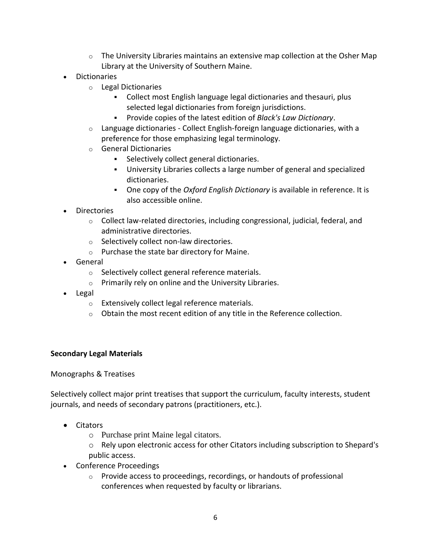- $\circ$  The University Libraries maintains an extensive map collection at the Osher Map Library at the University of Southern Maine.
- Dictionaries
	- o Legal Dictionaries
		- Collect most English language legal dictionaries and thesauri, plus selected legal dictionaries from foreign jurisdictions.
		- Provide copies of the latest edition of *Black's Law Dictionary*.
	- $\circ$  Language dictionaries Collect English-foreign language dictionaries, with a preference for those emphasizing legal terminology.
	- o General Dictionaries
		- Selectively collect general dictionaries.
		- University Libraries collects a large number of general and specialized dictionaries.
		- One copy of the *Oxford English Dictionary* is available in reference. It is also accessible online.
- Directories
	- $\circ$  Collect law-related directories, including congressional, judicial, federal, and administrative directories.
	- o Selectively collect non-law directories.
	- o Purchase the state bar directory for Maine.
- General
	- o Selectively collect general reference materials.
	- o Primarily rely on online and the University Libraries.
- Legal
	- o Extensively collect legal reference materials.
	- $\circ$  Obtain the most recent edition of any title in the Reference collection.

# **Secondary Legal Materials**

Monographs & Treatises

Selectively collect major print treatises that support the curriculum, faculty interests, student journals, and needs of secondary patrons (practitioners, etc.).

- Citators
	- o Purchase print Maine legal citators.
	- o Rely upon electronic access for other Citators including subscription to Shepard's public access.
- Conference Proceedings
	- o Provide access to proceedings, recordings, or handouts of professional conferences when requested by faculty or librarians.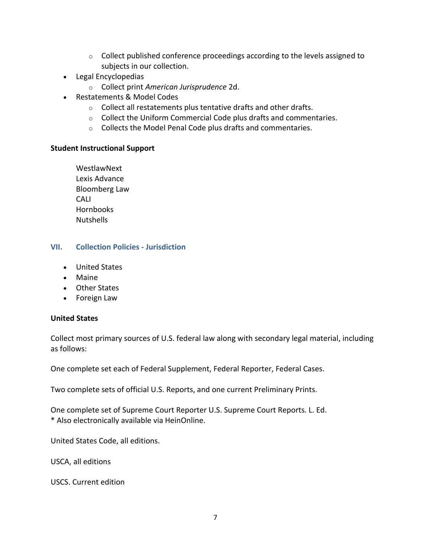- o Collect published conference proceedings according to the levels assigned to subjects in our collection.
- Legal Encyclopedias
	- o Collect print *American Jurisprudence* 2d.
- Restatements & Model Codes
	- o Collect all restatements plus tentative drafts and other drafts.
	- o Collect the Uniform Commercial Code plus drafts and commentaries.
	- o Collects the Model Penal Code plus drafts and commentaries.

#### **Student Instructional Support**

WestlawNext Lexis Advance Bloomberg Law CALI Hornbooks Nutshells

## **VII. Collection Policies - Jurisdiction**

- [United States](https://www.law.uga.edu/collection-policies-jurisdiction#us)
- Maine
- [Other States](https://www.law.uga.edu/collection-policies-jurisdiction#OtherStates)
- [Foreign Law](https://www.law.uga.edu/collection-policies-jurisdiction#ForeignLaw)

## **United States**

Collect most primary sources of U.S. federal law along with secondary legal material, including as follows:

One complete set each of Federal Supplement, Federal Reporter, Federal Cases.

Two complete sets of official U.S. Reports, and one current Preliminary Prints.

One complete set of Supreme Court Reporter U.S. Supreme Court Reports. L. Ed. \* Also electronically available via HeinOnline.

United States Code, all editions.

USCA, all editions

USCS. Current edition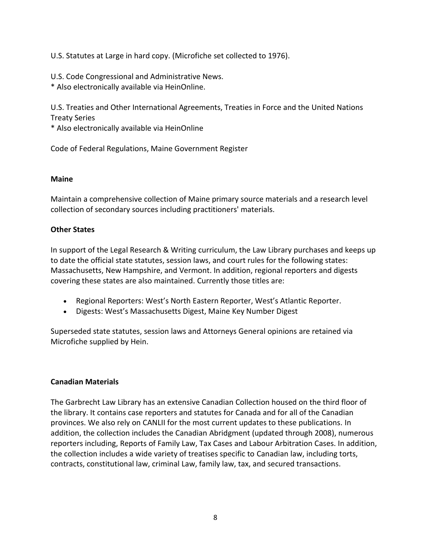U.S. Statutes at Large in hard copy. (Microfiche set collected to 1976).

U.S. Code Congressional and Administrative News.

\* Also electronically available via HeinOnline.

U.S. Treaties and Other International Agreements, Treaties in Force and the United Nations Treaty Series

\* Also electronically available via HeinOnline

Code of Federal Regulations, Maine Government Register

# **Maine**

Maintain a comprehensive collection of Maine primary source materials and a research level collection of secondary sources including practitioners' materials.

# **Other States**

In support of the Legal Research & Writing curriculum, the Law Library purchases and keeps up to date the official state statutes, session laws, and court rules for the following states: Massachusetts, New Hampshire, and Vermont. In addition, regional reporters and digests covering these states are also maintained. Currently those titles are:

- Regional Reporters: West's North Eastern Reporter, West's Atlantic Reporter.
- Digests: West's Massachusetts Digest, Maine Key Number Digest

Superseded state statutes, session laws and Attorneys General opinions are retained via Microfiche supplied by Hein.

# **Canadian Materials**

The Garbrecht Law Library has an extensive Canadian Collection housed on the third floor of the library. It contains case reporters and statutes for Canada and for all of the Canadian provinces. We also rely on CANLII for the most current updates to these publications. In addition, the collection includes the Canadian Abridgment (updated through 2008), numerous reporters including, Reports of Family Law, Tax Cases and Labour Arbitration Cases. In addition, the collection includes a wide variety of treatises specific to Canadian law, including torts, contracts, constitutional law, criminal Law, family law, tax, and secured transactions.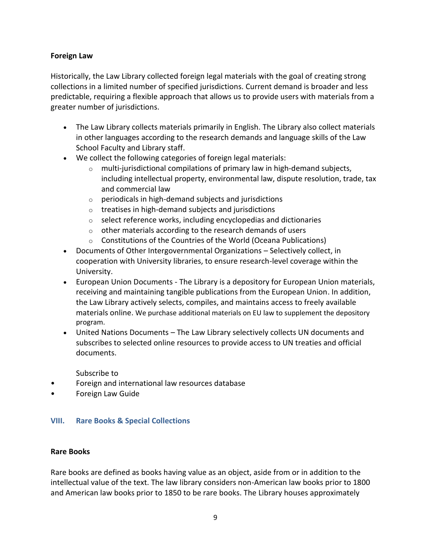## **Foreign Law**

Historically, the Law Library collected foreign legal materials with the goal of creating strong collections in a limited number of specified jurisdictions. Current demand is broader and less predictable, requiring a flexible approach that allows us to provide users with materials from a greater number of jurisdictions.

- The Law Library collects materials primarily in English. The Library also collect materials in other languages according to the research demands and language skills of the Law School Faculty and Library staff.
- We collect the following categories of foreign legal materials:
	- $\circ$  multi-jurisdictional compilations of primary law in high-demand subjects, including intellectual property, environmental law, dispute resolution, trade, tax and commercial law
	- o periodicals in high-demand subjects and jurisdictions
	- o treatises in high-demand subjects and jurisdictions
	- $\circ$  select reference works, including encyclopedias and dictionaries
	- $\circ$  other materials according to the research demands of users
	- o Constitutions of the Countries of the World (Oceana Publications)
- Documents of Other Intergovernmental Organizations Selectively collect, in cooperation with University libraries, to ensure research-level coverage within the University.
- European Union Documents The Library is a depository for European Union materials, receiving and maintaining tangible publications from the European Union. In addition, the Law Library actively selects, compiles, and maintains access to freely available materials online. We purchase additional materials on EU law to supplement the depository program.
- United Nations Documents The Law Library selectively collects UN documents and subscribes to selected online resources to provide access to UN treaties and official documents.

Subscribe to

- Foreign and international law resources database
- Foreign Law Guide

# **VIII. Rare Books & Special Collections**

## **Rare Books**

Rare books are defined as books having value as an object, aside from or in addition to the intellectual value of the text. The law library considers non-American law books prior to 1800 and American law books prior to 1850 to be rare books. The Library houses approximately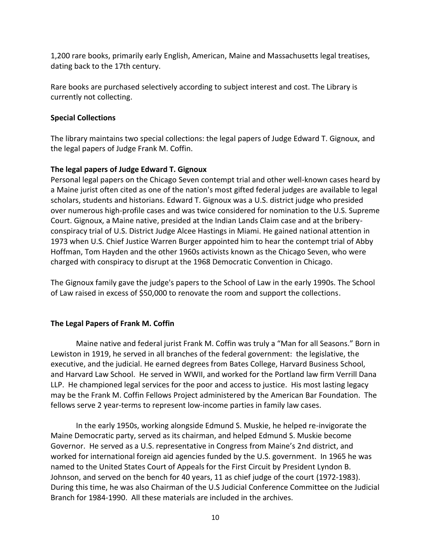1,200 rare books, primarily early English, American, Maine and Massachusetts legal treatises, dating back to the 17th century.

Rare books are purchased selectively according to subject interest and cost. The Library is currently not collecting.

## **Special Collections**

The library maintains two special collections: the legal papers of Judge Edward T. Gignoux, and the legal papers of Judge Frank M. Coffin.

## **The legal papers of Judge Edward T. Gignoux**

Personal legal papers on the Chicago Seven contempt trial and other well-known cases heard by a Maine jurist often cited as one of the nation's most gifted federal judges are available to legal scholars, students and historians. Edward T. Gignoux was a U.S. district judge who presided over numerous high-profile cases and was twice considered for nomination to the U.S. Supreme Court. Gignoux, a Maine native, presided at the Indian Lands Claim case and at the briberyconspiracy trial of U.S. District Judge Alcee Hastings in Miami. He gained national attention in 1973 when U.S. Chief Justice Warren Burger appointed him to hear the contempt trial of Abby Hoffman, Tom Hayden and the other 1960s activists known as the Chicago Seven, who were charged with conspiracy to disrupt at the 1968 Democratic Convention in Chicago.

The Gignoux family gave the judge's papers to the School of Law in the early 1990s. The School of Law raised in excess of \$50,000 to renovate the room and support the collections.

# **The Legal Papers of Frank M. Coffin**

Maine native and federal jurist Frank M. Coffin was truly a "Man for all Seasons." Born in Lewiston in 1919, he served in all branches of the federal government: the legislative, the executive, and the judicial. He earned degrees from Bates College, Harvard Business School, and Harvard Law School. He served in WWII, and worked for the Portland law firm Verrill Dana LLP. He championed legal services for the poor and access to justice. His most lasting legacy may be the Frank M. Coffin Fellows Project administered by the American Bar Foundation. The fellows serve 2 year-terms to represent low-income parties in family law cases.

In the early 1950s, working alongside Edmund S. Muskie, he helped re-invigorate the Maine Democratic party, served as its chairman, and helped Edmund S. Muskie become Governor. He served as a U.S. representative in Congress from Maine's 2nd district, and worked for international foreign aid agencies funded by the U.S. government. In 1965 he was named to the United States Court of Appeals for the First Circuit by President Lyndon B. Johnson, and served on the bench for 40 years, 11 as chief judge of the court (1972-1983). During this time, he was also Chairman of the U.S Judicial Conference Committee on the Judicial Branch for 1984-1990. All these materials are included in the archives.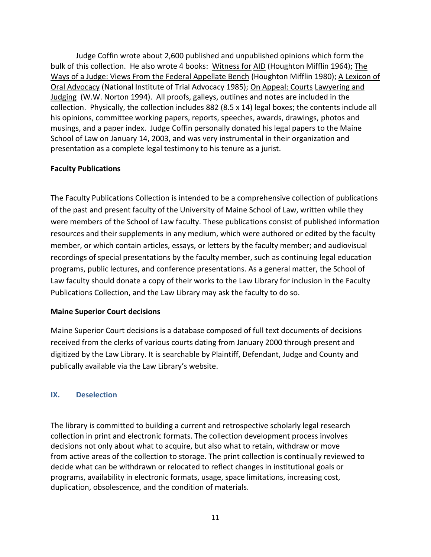Judge Coffin wrote about 2,600 published and unpublished opinions which form the bulk of this collection. He also wrote 4 books: Witness for AID (Houghton Mifflin 1964); The Ways of a Judge: Views From the Federal Appellate Bench (Houghton Mifflin 1980); A Lexicon of Oral Advocacy (National Institute of Trial Advocacy 1985); On Appeal: Courts Lawyering and Judging (W.W. Norton 1994). All proofs, galleys, outlines and notes are included in the collection. Physically, the collection includes 882 (8.5 x 14) legal boxes; the contents include all his opinions, committee working papers, reports, speeches, awards, drawings, photos and musings, and a paper index. Judge Coffin personally donated his legal papers to the Maine School of Law on January 14, 2003, and was very instrumental in their organization and presentation as a complete legal testimony to his tenure as a jurist.

## **Faculty Publications**

The Faculty Publications Collection is intended to be a comprehensive collection of publications of the past and present faculty of the University of Maine School of Law, written while they were members of the School of Law faculty. These publications consist of published information resources and their supplements in any medium, which were authored or edited by the faculty member, or which contain articles, essays, or letters by the faculty member; and audiovisual recordings of special presentations by the faculty member, such as continuing legal education programs, public lectures, and conference presentations. As a general matter, the School of Law faculty should donate a copy of their works to the Law Library for inclusion in the Faculty Publications Collection, and the Law Library may ask the faculty to do so.

# **Maine Superior Court decisions**

Maine Superior Court decisions is a database composed of full text documents of decisions received from the clerks of various courts dating from January 2000 through present and digitized by the Law Library. It is searchable by Plaintiff, Defendant, Judge and County and publically available via the Law Library's website.

# **IX. Deselection**

The library is committed to building a current and retrospective scholarly legal research collection in print and electronic formats. The collection development process involves decisions not only about what to acquire, but also what to retain, withdraw or move from active areas of the collection to storage. The print collection is continually reviewed to decide what can be withdrawn or relocated to reflect changes in institutional goals or programs, availability in electronic formats, usage, space limitations, increasing cost, duplication, obsolescence, and the condition of materials.